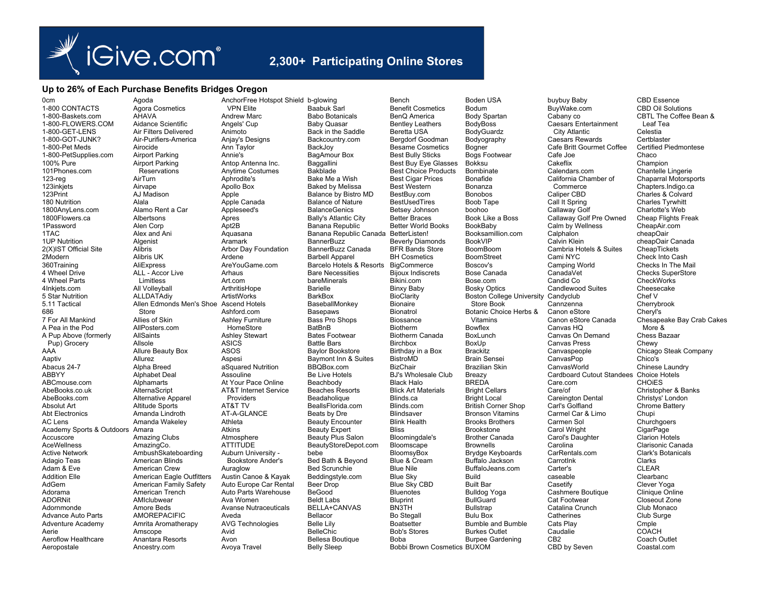

## 2.300+ Participating Online Stores

## Up to 26% of Each Purchase Benefits Bridges Oregon

0<sub>cm</sub> 1-800 CONTACTS 1-800-Baskets.com 1-800-FLOWERS.COM 1-800-GET-LENS 1-800-GOT-JUNK? 1-800-Pet Meds 1-800-PetSupplies.com 100% Pure 101Phones.com 123-reg 123inkiets 123Print 180 Nutrition 1800AnvLens.com 1800Flowers.ca 1Password 1TAC 1UP Nutrition 2(X)IST Official Site 2Modern 360Training 4 Wheel Drive 4 Wheel Parts 4Inkiets.com 5 Star Nutrition 5.11 Tactical 686 7 For All Mankind A Pea in the Pod A Pup Above (formerly Pup) Grocery AAA Aaptiv Abacus 24-7 **ARRYY** ABCmouse com AbeBooks.co.uk AbeBooks.com Absolut Art **Abt Electronics** AC Lens Academy Sports & Outdoors Accuscore **AceWellness Active Network** Adagio Teas Adam & Eve **Addition Flie** AdGem Adorama **ADORNit** Adornmonde **Advance Auto Parts Adventure Academy** Aerie Aeroflow Healthcare Aeropostale

Agoda **VPN Elite** Agora Cosmetics AHAVA Andrew Marc Aidance Scientific Angels' Cup Air Filters Delivered Animoto Air-Purifiers-America Anjay's Designs Airocide Ann Tavlor **Airport Parking** Annie's Airport Parking Antop Antenna Inc. Reservations Anytime Costumes AirTurn Aphrodite's Airvape Apollo Box A.I Madison Apple Alala Apple Canada Alamo Rent a Car Appleseed's Albertsons Apres Alen Corp Apt2B Alex and Ani Aguasana Algenist Aramark Alibris Arbor Day Foundation Alihris I IK Ardene AliExpress AreYouGame.com ALL - Accor Live Arhaus **Limitless** Art com All Vollevball ArthritisHope ALLDATAdiy ArtistWorks Allen Edmonds Men's Shoe Ascend Hotels Store Ashford.com Allies of Skin **Ashley Furniture** AllPosters.com HomeStore **AllSaints Ashley Stewart** Allsole **ASICS** Allure Beauty Box **ASOS** Allurez Aspesi Alpha Breed aSquared Nutrition Alphabet Deal Assouline Alphamarts At Your Pace Online AlternaScript **AT&T Internet Service** Alternative Apparel Providers Altitude Sports AT&T TV Amanda Lindroth AT-A-GLANCE Amanda Wakelev Athleta Atkins Amara Amazing Clubs Atmosphere AmazingCo. **ATTITUDE** AmbushSkateboarding Auburn University -American Blinds **Bookstore Ander's** American Crew Auraglow American Eagle Outfitters Austin Canoe & Kayak American Family Safety Auto Europe Car Rental American Trench Auto Parts Warehouse AMIclubwear Ava Women Amore Beds **Avanse Nutraceuticals AMOREPACIFIC** Aveda Amrita Aromatherapy **AVG Technologies** Amscope Avid Anantara Resorts Avon Ancestry.com Avova Travel

AnchorFree Hotspot Shield b-alowing **Baabuk Sarl Babo Botanicals Baby Quasar** Back in the Saddle Backcountry.com BackJov BagAmour Box Baggallini **Bakblade** Bake Me a Wish **Baked by Melissa** Balance by Bistro MD **Balance of Nature BalanceGenics Bally's Atlantic City** Banana Republic Banana Republic Canada BetterListen! **BannerBuzz** BannerBuzz Canada **Barbell Apparel** Barcelo Hotels & Resorts **Bare Necessities** hareMinerals **Barielle BarkBox** BaseballMonkey **Basepaws Bass Pro Shops** BatBnB **Bates Footwear Battle Bars Baylor Bookstore** Baymont Inn & Suites BBQBox.com **Be Live Hotels** Beachbody **Beaches Resorts** Beadaholique BeallsFlorida.com Beats by Dre **Beauty Encounter** Beauty Expert **Beauty Plus Salon** BeautyStoreDepot.com bebe Bed Bath & Beyond Bed Scrunchie Beddingstyle.com Beer Drop BeGood **Beldt Labs** BELLA+CANVAS Bellacor **Belle Lilv BelleChic** Bellesa Boutique **Belly Sleep** 

Bench **Benefit Cosmetics** BenO America **Bentley Leathers** Beretta USA Bergdorf Goodman **Besame Cosmetics Best Bully Sticks** Best Buy Eye Glasses **Best Choice Products Best Cigar Prices** Best Western BestBuv.com **BestUsedTires** Betsey Johnson **Better Braces Better World Books Beverly Diamonds BFR Bands Store RH Cosmetics** BigCommerce **Bijoux Indiscrets** Bikini.com **Binxy Baby BioClarity Rionaire Bionatrol** Biossance **Biotherm Biotherm Canada Birchbox** Birthday in a Box **BistroMD BizChair B.I's Wholesale Club** Black Halo **Blick Art Materials** Blinds.ca Blinds.com Blindsaver **Blink Health Bliss** Bloomingdale's Bloomscape **BloomsvBox** Blue & Cream **Blue Nile Blue Sky** Blue Sky CBD Bluenotes **Bluprint BN3TH Bo Stegall** Boatsetter **Bob's Stores Roba Bobbi Brown Cosmetics BUXOM** 

Bodum **Body Spartan BodyBoss** BodyGuardz Bodyography Bogner **Bogs Footwear Bokksu Bombinate** Bonafide Bonanza **Bonobos** Boob Tape boohoo Book Like a Boss BookBaby Booksamillion.com **BookVIP BoomBoom BoomStreet** Boscov's **Bose Canada** Bose com **Bosky Optics Boston College University** Store Book **Botanic Choice Herbs &** Vitamins **Bowflex BoxLunch** BoxUp **Rrackitz Brain Sensei Brazilian Skin** Breazy **BREDA Bright Cellars** Bright Local **British Corner Shop Bronson Vitamins Brooks Brothers Brookstone Brother Canada Rrownells Brydge Keyboards** Buffalo Jackson Buffalo leans com **Build Built Bar** Bulldog Yoga **BullGuard Bullstrap Bulu Box Bumble and Bumble Burkes Outlet** Burpee Gardening

**Boden USA** 

BuyWake.com Cabany co **Caesars Entertainment City Atlantic** Caesars Rewards Cafe Britt Gourmet Coffee Cafe Joe Cakeflix Calendars com California Chamber of Commerce Caliner CBD Call It Spring Callaway Golf Callaway Golf Pre Owned Calm by Wellness Calphalon Calvin Klein Cambria Hotels & Suites Cami NYC Camping World CanadaVet Candid Co Candlewood Suites Candyclub Cannzenna Canon eStore Canon eStore Canada Canvas HO Canvas On Demand Canvas Press Canvaspeople CanvasPop CanvasWorld Cardboard Cutout Standees Care com Care/of Careington Dental Carl's Golfland Carmel Car & Limo Carmen Sol Carol Wright Carol's Daughter Carolina CarRentals.com CarrotInk Cartor's caseable Casetify Cashmere Boutique Cat Footwear Catalina Crunch Catherines Cats Plav Caudalie CB<sub>2</sub> CBD by Seven

buybuy Baby

**CBD Essence CBD Oil Solutions** CBTL The Coffee Bean & Leaf Tea Celestia Certblaster **Certified Piedmontese** Chaco Champion Chantelle Lingerie Chaparral Motorsports Chapters.Indigo.ca Charles & Colvard **Charles Tvrwhitt** Charlotte's Web **Cheap Flights Freak** CheapAir.com cheapOair cheapOair Canada CheapTickets Check Into Cash Checks In The Mail **Checks SuperStore** CheckWorks Cheesecake Chef V Cherrybrook Cherv<sup>l's</sup> Chesapeake Bay Crab Cakes More & Chess Bazaar Chewy Chicago Steak Company Chico's Chinese Laundry Choice Hotels CHOIFS Christopher & Banks Christys' London Chrome Battery Chupi Churchgoers CigarPage **Clarion Hotels** Clarisonic Canada **Clark's Botanicals** Clarks CLEAR Clearbanc Clever Yoga Clinique Online Closeout Zone Club Monaco Club Surge Cmple COACH Coach Outlet Coastal.com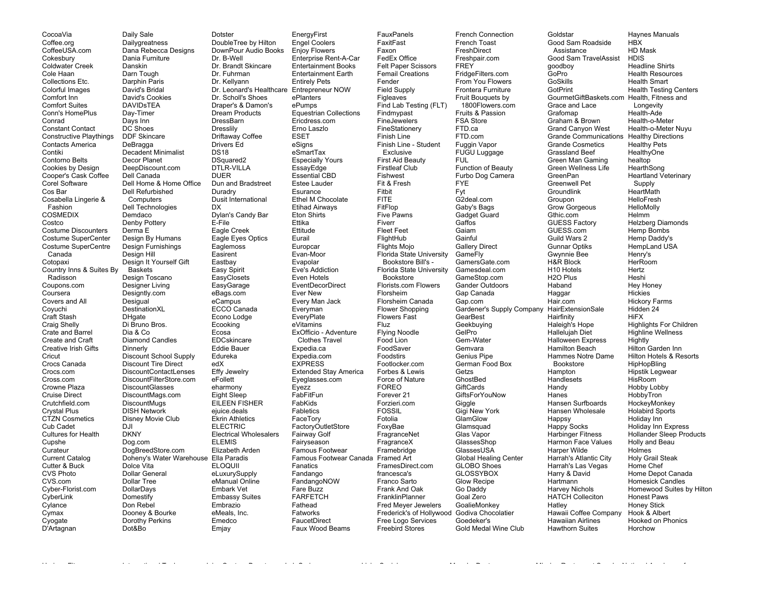CocoaVia Coffee.org CoffeeUSA.com Cokesbury Coldwater Creek Cole Haan Collections Etc. Colorful Images Comfort Inn Comfort Suites Conn's HomePlus Conrad Constant Contact Constructive Playthings Contacts America Contiki Contorno Belts Cookies by Design Cooper's Cask Coffee Corel Software Cos Bar Cosabella Lingerie & Fashion COSMEDIX Costco Costume Discounters Costume SuperCenter Costume SuperCentre Canada Cotopaxi Country Inns & Suites By Radisson Coupons.com Coursera Covers and All Coyuchi Craft Stash Craig Shelly Crate and Barrel Create and Craft Creative Irish Gifts **Cricut** Crocs Canada Crocs.com Cross.com Crowne Plaza Cruise Direct Crutchfield.com Crystal Plus CTZN Cosmetics Cub Cadet Cultures for Health Cupshe Curateur Current Catalog Cutter & Buck CVS Photo CVS.com Cyber-Florist.com **CyberLink Cylance** Cymax Cyogate D'Artagnan

Daily Sale **Dailygreatness** Dana Rebecca Designs Dania Furniture Danskin Darn Tough Darphin Paris David's Bridal David's Cookies DAVIDsTEA Day-Timer Days Inn DC Shoes DDF Skincare DeBragga Decadent Minimalist Decor Planet DeepDiscount.com Dell Canada Dell Home & Home Office Dell Refurbished **Computers** Dell Technologies Demdaco Denby Pottery Derma E Design By Humans Design Furnishings Design Hill Design It Yourself Gift Baskets Design Toscano Designer Living Designtly.com **Desigual** DestinationXL **DHgate** Di Bruno Bros. Dia & Co Diamond Candles Dinnerly Discount School Supply Discount Tire Direct DiscountContactLenses DiscountFilterStore.com DiscountGlasses DiscountMags.com **DiscountMugs** DISH Network Disney Movie Club  $D.H$ DKNY Dog.com DogBreedStore.com Doheny's Water Warehouse Ella Paradis Dolce Vita Dollar General Dollar Tree DollarDays **Domestify** Don Rebel Dooney & Bourke Dorothy Perkins Dotster DoubleTree by Hilton DownPour Audio Books Dr. B-Well Dr. Brandt Skincare Dr. Fuhrman Dr. Kellyann Dr. Scholl's Shoes Draper's & Damon's Dream Products DressBarn Dresslily Driftaway Coffee Drivers Ed DS18 DSquared<sub>2</sub> DTLR-VILLA DUER Dun and Bradstreet Duradry Dusit International **DX** Dylan's Candy Bar E-File Eagle Creek Eagle Eyes Optics Eaglemoss Easirent Eastbay Easy Spirit **EasyClosets EasyGarage** eBags.com eCampus ECCO Canada Econo Lodge Ecooking Ecosa EDCskincare Eddie Bauer Edureka edX Effy Jewelry eFollett eharmony Eight Sleep EILEEN FISHER ejuice.deals Ekrin Athletics ELECTRIC Electrical Wholesalers ELEMIS Elizabeth Arden **ELOQUII** eLuxurySupply eManual Online Embark Vet Embassy Suites Embrazio eMeals, Inc. **Emedco** 

Emjay

Dot&Bo

Dr. Leonard's Healthcare Entrepreneur NOW EnergyFirst Engel Coolers Enjoy Flowers Enterprise Rent-A-Car Entertainment Books Entertainment Earth Entirely Pets ePlanters ePumps Equestrian Collections Ericdress.com Erno Laszlo ESET eSigns eSmartTax Especially Yours **EssayEdge** Essential CBD Estee Lauder Esurance Ethel M Chocolate Etihad Airways Eton Shirts Ettika Ettitude Eurail Europcar Evan-Moor Evapolar Eve's Addiction Even Hotels EventDecorDirect Ever New Every Man Jack Everyman **EveryPlate** eVitamins ExOfficio - Adventure Clothes Travel Expedia.ca Expedia.com **EXPRESS** Extended Stay America Eyeglasses.com Eyezz FabFitFun FabKids Fabletics FaceTory FactoryOutletStore Fairway Golf Fairyseason Famous Footwear Famous Footwear Canada Framed Art Fanatics Fandango FandangoNOW Fare Buzz FARFETCH Fathead Fatworks FaucetDirect Faux Wood Beams

**FauxPanels** FaxitFast Faxon FedEx Office Felt Paper Scissors Femail Creations Fender Field Supply Figleaves<sup>1</sup> Find Lab Testing (FLT) Findmypast FineJewelers FineStationery Finish Line Finish Line - Student Exclusive First Aid Beauty Firstleaf Club Fishwest Fit & Fresh Fitbit FITE **FitFlon** Five Pawns Fiverr Fleet Feet FlightHub Flights Mojo Florida State University Bookstore Bill's - Florida State University Bookstore Florists.com Flowers Florsheim Florsheim Canada Flower Shopping Flowers Fast Fluz Flying Noodle Food Lion FoodSaver Foodstirs Footlocker.com Forbes & Lewis Force of Nature FOREO Forever 21 Forzieri.com FOSSIL Fotolia FoxyBae FragranceNet FragranceX Framebridge FramesDirect.com francesca's Franco Sarto Frank And Oak **FranklinPlanner** Fred Meyer Jewelers Free Logo Services Freebird Stores

Horizon Fitness International Tool Juicy Couture Beauty Lab Series LivingSocial Manuka Doctor Mission Restaurant Supply National Academy of

Frederick's of Hollywood Godiva Chocolatier French Connection French Toast FreshDirect Freshpair.com **FREY** FridgeFilters.com From You Flowers Frontera Furniture Fruit Bouquets by 1800Flowers.com Fruits & Passion FSA Store FTD.ca FTD.com Fuggin Vapor FUGU Luggage FUL Function of Beauty Furbo Dog Camera FYE Fyt G2deal.com Gaby's Bags Gadget Guard **Gaffos** Gaiam Gainful Gallery Direct GameFly GamersGate.com Gamesdeal.com GameStop.com Gander Outdoors Gap Canada Gap.com Gardener's Supply Company HairExtensionSale **GearBest** Geekbuying GelPro Gem-Water Gemvara Genius Pipe German Food Box Getzs GhostBed **GiftCards** GiftsForYouNow Giggle Gigi New York GlamGlow **Glamsquad** Glas Vapor GlassesShop GlassesUSA Global Healing Center GLOBO Shoes **GLOSSYBOX** Glow Recipe Go Daddy Goal Zero GoalieMonkey Goedeker's Gold Medal Wine Club

Goldstar Good Sam Roadside **Assistance** Good Sam TravelAssist goodboy GoPro GoSkills **GotPrint** GourmetGiftBaskets.com Health, Fitness and Grace and Lace Grafomap Graham & Brown Grand Canyon West Grande Communications Healthy Directions Grande Cosmetics Grassland Beef Green Man Gaming Green Wellness Life GreenPan Greenwell Pet **Groundlink** Groupon Grow Gorgeous Gthic.com GUESS Factory GUESS.com Guild Wars 2 Gunnar Optiks Gwynnie Bee H&R Block H10 Hotels H2O Plus Haband Haggar Hair.com **Hairfinity** Haleigh's Hope Hallelujah Diet Halloween Express Hamilton Beach Hammes Notre Dame Bookstore Hampton Handlesets Handy Hanes Hansen Surfboards Hansen Wholesale **Happsy** Happy Socks Harbinger Fitness Harmon Face Values Harper Wilde Harrah's Atlantic City Harrah's Las Vegas Harry & David Hartmann Harvey Nichols HATCH Colleciton Hatley Hawaii Coffee Company Hawaiian Airlines Hawthorn Suites Haynes Manuals

**HBY** HD Mask HDIS Headline Shirts Health Resources Health Smart Health Testing Centers Longevity Health-Ade Health-o-Meter Health-o-Meter Nuyu Healthy Pets **HealthyOne** healtop **HearthSong** Heartland Veterinary Supply **HeartMath** HelloFresh HelloMolly Helmm Helzberg Diamonds Hemp Bombs Hemp Daddy's HempLand USA Henry's HerRoom Hertz Heshi Hey Honey Hickies Hickory Farms Hidden 24 **HiFX** Highlights For Children Highline Wellness Hightly Hilton Garden Inn Hilton Hotels & Resorts HipHopBling Hipstik Legwear **HisRoom** Hobby Lobby **HobbyTron HockeyMonkey** Holabird Sports Holiday Inn Holiday Inn Express Hollander Sleep Products Holly and Beau Holmes Holy Grail Steak Home Chef Home Depot Canada Homesick Candles Homewood Suites by Hilton Honest Paws Honey Stick Hook & Albert Hooked on Phonics Horchow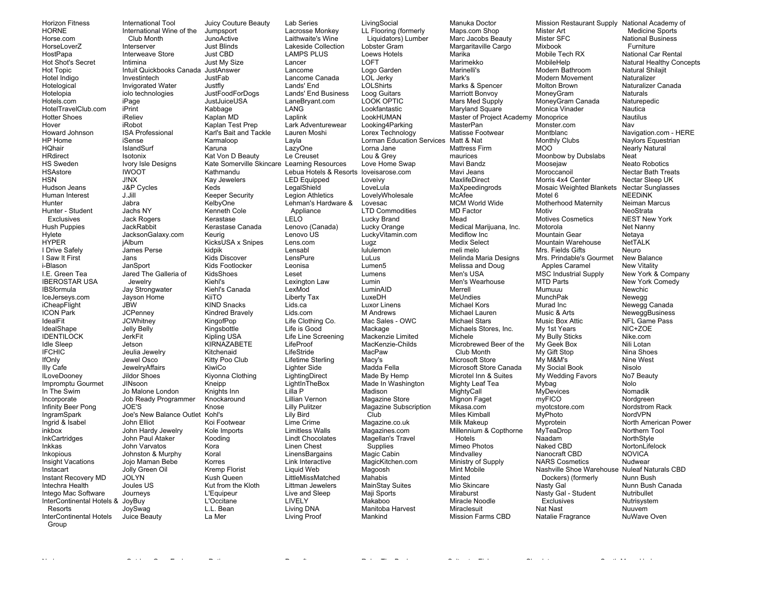Horizon Fitness HORNE Horse.com HorseLoverZ HostPapa Hot Shot's Secret Hot Topic Hotel Indigo Hotelogical Hotelopia Hotels.com HotelTravelClub.com Hotter Shoes Hover Howard Johnson HP Home HQhair **HRdirect** HS Sweden HSAstore **HSN** Hudson Jeans Human Interest Hunter Hunter - Student Exclusives Hush Puppies Hylete **HYPER** I Drive Safely I Saw It First i-Blason I.E. Green Tea IBEROSTAR USA IBSformula IceJerseys.com **iCheapFlight** ICON Park IdealFit IdealShape **IDENTILOCK** Idle Sleep IFCHIC IfOnly Illy Cafe ILoveDooney Impromptu Gourmet In The Swim Incorporate Infinity Beer Pong IngramSpark Ingrid & Isabel inkbox **InkCartridges** Inkkas Inkopious Insight Vacations Instacart Instant Recovery MD Intechra Health Intego Mac Software InterContinental Hotels & JoyBuy Resorts InterContinental Hotels Group

iPrint

J!NX

J.Jill Jabra

Jans

JBW

International Tool International Wine of the Club Month Interserver Interweave Store Intimina Intuit Quickbooks Canada JustAnswer Investintech Invigorated Water iolo technologies iPage iReliev iRobot ISA Professional iSense IslandSurf Isotonix Ivory Isle Designs IWOOT J&P Cycles Jachs NY Jack Rogers **JackRabbit** JacksonGalaxy.com iAlbum James Perse **JanSport** Jared The Galleria of Jewelry Jay Strongwater Jayson Home **JCPenney JCWhitney** Jelly Belly JerkFit Jetson Jeulia Jewelry Jewel Osco **JewelryAffairs** Jildor Shoes JINsoon Jo Malone London Job Ready Programmer JOE'S Joe's New Balance Outlet John Elliot John Hardy Jewelry John Paul Ataker John Varvatos Johnston & Murphy Jojo Maman Bebe Jolly Green Oil JOLYN Joules US Journeys JoySwag Juice Beauty **Jumpsport** JunoActive Just Blinds Just CBD Just My Size JustFab Justfly JustJuiceUSA Kabbage Kaplan MD Kaplan Test Prep Karmaloop Karuna Kathmandu Kay Jewelers Keds Keeper Security KelbyOne Kenneth Cole Kerastase Keurig kidpik Kids Discover Kids Footlocker KidsShoes Kiehl's Kiehl's Canada KiiTO KIND Snacks Kindred Bravely KingofPop Kingsbottle Kipling USA **KIRNAZABETE** Kitchenaid Kitty Poo Club KiwiCo Kiyonna Clothing Kneipp Knights Inn Knockaround Knose Kohl's Koi Footwear Kole Imports Kooding Kora Koral Korres Kremp Florist Kush Queen L'Equipeur L'Occitane L.L. Bean La Mer

Juicy Couture Beauty JustFoodForDogs Karl's Bait and Tackle Kat Von D Beauty Kate Somerville Skincare Learning Resources Kerastase Canada KicksUSA x Snipes Kut from the Kloth Lab Series Lancer Lancome Lands' End LANG Laplink Layla LazyOne Le Creuset **LegalShield** LELO Lenovo US Lens.com Lensabl LensPure Leonisa Leset LexMod Liberty Tax Lids.ca Lids.com Life is Good LifeProof LifeStride Lighter Side Lilla P Lilly Pulitzer Lily Bird Lime Crime Linen Chest Liquid Web LIVELY Living DNA Living Proof

Lacrosse Monkey Laithwaite's Wine Lakeside Collection LAMPS PLUS Lancome Canada Lands' End Business LaneBryant.com Lark Adventurewear Lauren Moshi Lebua Hotels & Resorts loveisarose.com LED Equipped Legion Athletics Lehman's Hardware & Appliance Lenovo (Canada) Lexington Law Life Clothing Co. Life Line Screening Lifetime Sterling **LightingDirect** LightInTheBox Lillian Vernon Limitless Walls Lindt Chocolates **LinensBargains** Link Interactive LittleMissMatched Littman Jewelers Live and Sleep **Lugz** 

Nyrius Outdoor Gear Exchange Petjoy Prosoft Relax The Back Saltwater Fish Shoplet South Moon Under

**LivingSocial** LL Flooring (formerly Liquidators) Lumber Lobster Gram Loews Hotels LOFT Logo Garden LOL Jerky **LOLShirts** Loog Guitars LOOK OPTIC Lookfantastic LookHUMAN Looking4Parking Lorex Technology Lorman Education Services Matt & Nat Lorna Jane Lou & Grey Love Home Swap Loveivy **LoveLula** LovelyWholesale Lovesac LTD Commodities Lucky Brand Lucky Orange LuckyVitamin.com lululemon LuLus Lumen5 Lumens Lumin LuminAID LuxeDH Luxor Linens M Andrews Mac Sales - OWC Mackage Mackenzie Limited MacKenzie-Childs MacPaw Macy's Madda Fella Made By Hemp Made In Washington Madison Magazine Store Magazine Subscription Club Magazine.co.uk Magazines.com Magellan's Travel Supplies Magic Cabin MagicKitchen.com Magoosh Mahabis MainStay Suites Maji Sports Makaboo Manitoba Harvest Mankind

Manuka Doctor Maps.com Shop Marc Jacobs Beauty Margaritaville Cargo Marika Marimekko Marinelli's Mark's Marks & Spencer Marriott Bonvoy Mars Med Supply Maryland Square Master of Project Academy Monoprice **MasterPan** Matisse Footwear Mattress Firm maurices Mavi Bandz Mavi Jeans **MaxlifeDirect** MaXpeedingrods McAfee MCM World Wide MD Factor Mead Medical Marijuana, Inc. Mediflow Inc. Medix Select meli melo Melinda Maria Designs Melissa and Doug Men's USA Men's Wearhouse **Marrall** MeUndies Michael Kors Michael Lauren Michael Stars Michaels Stores, Inc. Michele Microbrewed Beer of the Club Month Microsoft Store Microsoft Store Canada Microtel Inn & Suites Mighty Leaf Tea MightyCall Mignon Faget Mikasa.com Miles Kimball Milk Makeup Millennium & Copthorne Hotels Mimeo Photos **Mindvallev** Ministry of Supply Mint Mobile Minted Mio Skincare Miraburst Miracle Noodle **Miraclesuit** Mission Farms CBD

Mission Restaurant Supply National Academy of Mister Art Mister SFC Mixbook Mobile Tech RX MobileHelp Modern Bathroom Modern Movement Molton Brown MoneyGram MoneyGram Canada Monica Vinader Monster.com Montblanc Monthly Clubs MOO Moonbow by Dubslabs Moosejaw Moroccanoil Morris 4x4 Center Mosaic Weighted Blankets Motel 6 Motherhood Maternity Motiv Motives Cosmetics Motorola Mountain Gear Mountain Warehouse Mrs. Fields Gifts Mrs. Prindable's Gourmet Apples Caramel MSC Industrial Supply MTD Parts Mumuuu MunchPak Murad Inc Music & Arts Music Box Attic My 1st Years My Bully Sticks My Geek Box My Gift Stop My M&M's My Social Book My Wedding Favors Mybag **MyDevices** myFICO myotcstore.com MyPhoto Myprotein **MyTeaDrop** Naadam Naked CBD Nanocraft CBD NARS Cosmetics Nashville Shoe Warehouse Nuleaf Naturals CBD Dockers) (formerly Nasty Gal Nasty Gal - Student **Exclusives** Nat Nast Natalie Fragrance

 Medicine Sports National Business Furniture National Car Rental Natural Healthy Concepts Natural Shilajit Naturalizer Naturalizer Canada Naturals Naturepedic **Nautica** Nautilus Nav Navigation.com - HERE Naylors Equestrian Nearly Natural Neat Neato Robotics Nectar Bath Treats Nectar Sleep UK Nectar Sunglasses NEEDiNK Neiman Marcus NeoStrata NEST New York Net Nanny Netaya NetTALK Neuro New Balance New Vitality New York & Company New York Comedy Newchic Newegg Newegg Canada NeweggBusiness NFL Game Pass NIC+ZOE Nike.com Nili Lotan Nina Shoes Nine West Nisolo No7 Beauty Nolo Nomadik Nordgreen Nordstrom Rack NordVPN North American Power Northern Tool NorthStyle NortonLifelock NOVICA Nudwear Nunn Bush Nunn Bush Canada Nutribullet Nutrisystem Nuuvem NuWave Oven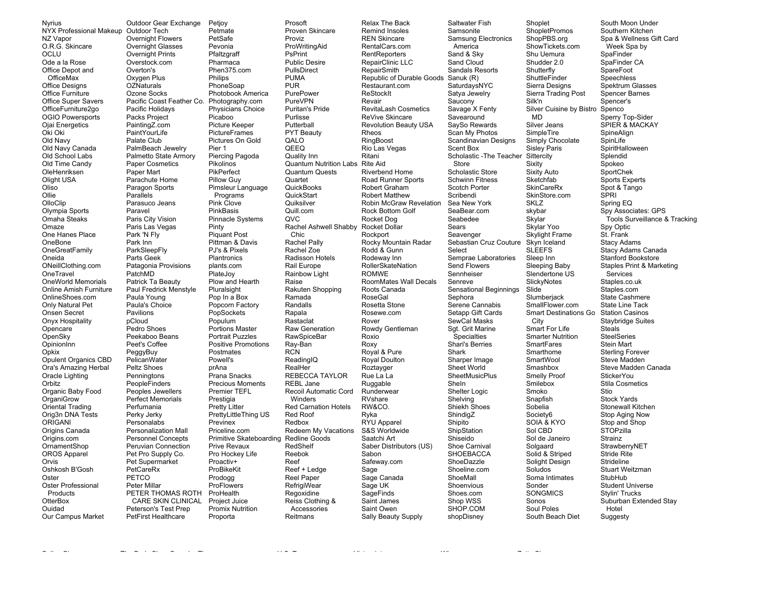**Nyrius** NYX Professional Makeup Outdoor Tech NZ Vapor O.R.G. Skincare OCLU Ode a la Rose Office Depot and OfficeMax **Office Designs** Office Furniture Office Super Savers OfficeFurniture2go **OGIO Powersports** Ojai Energetics Oki Oki Old Navy Old Navy Canada Old School Labs Old Time Candy OleHenriksen Olight USA Oliso Ollie OlloClip Olympia Sports Omaha Steaks  $Omaxa$ One Hanes Place OneBone OneGreatFamily Oneida ONeillClothing.com OneTravel **OneWorld Memorials** Online Amish Furniture OnlineShoes.com Only Natural Pet Onsen Secret Onyx Hospitality Opencare OpenSky OpinionInn Opkix Opulent Organics CBD Ora's Amazing Herbal Oracle Lighting Orbitz Organic Baby Food OrganiGrow Oriental Trading Orig3n DNA Tests ORIGANI Origins Canada Origins.com OrnamentShop OROS Apparel Orvis Oshkosh B'Gosh Oster Oster Professional Products OtterBox Ouidad Our Campus Market

Outdoor Gear Exchange Petjoy Petmate **Overnight Flowers** PetSafe Overnight Glasses Pevonia Overnight Prints Pfaltzoraff Overstock.com Pharmaca Overton's Phen375.com Oxygen Plus Philips **OZNaturals** PhoneSoap Ozone Socks Photobook America Pacific Coast Feather Co. Photography.com Pacific Holidays Physicians Choice Packs Project Picaboo Picture Keeper PaintingZ.com PaintYourLife **PictureFrames** Pictures On Gold Palate Club PalmBeach Jewelry Pier 1 Palmetto State Armory Piercing Pagoda **Paper Cosmetics** Pikolinos Paper Mart PikPerfect Parachute Home Pillow Guv Paragon Sports Pimsleur Language Parallels Programs Parasuco Jeans Pink Clove PinkBasis Paravel Paris City Vision **Pinnacle Systems** Paris Las Vegas Pinty **Piquant Post** Park 'N Fly Park Inn Pittman & Davis ParkSleepFly PJ's & Pixels Parts Geek **Plantronics** Patagonia Provisions plants.com PatchMD PlateJov Patrick Ta Beauty Plow and Hearth Paul Fredrick Menstyle Pluralsight Pop In a Box Paula Young Paula's Choice Popcorn Factory Pavilions PopSockets Populum pCloud Pedro Shoes Portions Master Portrait Puzzles Peekaboo Beans Peet's Coffee **Positive Promotions** PeggyBuy Postmates PelicanWater Powell's Peltz Shoes prAna Penningtons Prana Snacks **Precious Moments** PeopleFinders Peoples Jewellers **Premier TEFL** Perfect Memorials Prestigia **Pretty Litter** Perfumania PrettyLittleThing US Perky Jerky Personalabs Previnex **Personalization Mall** Priceline com **Personnel Concepts** Peruvian Connection Prive Revaux Pet Pro Supply Co. Pro Hockey Life Pet Supermarket Proactiv+ PetCareRx ProBikeKit PETCO Prodogg Peter Millar ProFlowers PETER THOMAS ROTH ProHealth CARE SKIN CLINICAL Project Juice Peterson's Test Prep Promix Nutrition

**PetFirst Healthcare** 

and the state

Proporta

Prosoft Proven Skincare Proviz ProWritingAid PsPrint **Public Desire** PullsDirect **PUMA PUR** PurePower PureVPN **Puritan's Pride** Purlisse Putterball PYT Beauty QALO QEEQ Quality Inn **Quantum Nutrition Labs** Quantum Quests Quartet QuickBooks QuickStart Quiksilver Quill.com OVC. Chic Rachel Pally Rachel Zoe Radisson Hotels Rail Europe Rainbow Light Raise Rakuten Shopping Ramada Randalls Rapala Rastaclat Raw Generation **RawSpiceBar** Rav-Ban **RCN** ReadingIO RealHer **REBECCA TAYLOR** REBL Jane Recoil Automatic Cord Winders **Red Carnation Hotels** Red Roof Redbox Redeem My Vacations Primitive Skateboarding Redline Goods RedShelf Reebok Reef Reef + Ledge Reel Paper RefrigiWear Regoxidine Reiss Clothing & Accessories Reitmans

Relax The Back Remind Insoles **RFN Skincare** RentalCars.com RentReporters RepairClinic LLC RepairSmith Republic of Durable Goods Sanuk (R) Restaurant.com ReStockIt Revair RevitaLash Cosmetics ReVive Skincare **Revolution Beauty USA** Rheos RingBoost Rio Las Vegas Ritani **Rite Aid** Riverbend Home Road Runner Sports Robert Graham **Robert Matthew** Robin McGraw Revelation Rock Bottom Golf Rocket Dog Rachel Ashwell Shabby Rocket Dollar Rockport Rocky Mountain Radar Rodd & Gunn Rodeway Inn **RollerSkateNation ROMWE** RoomMates Wall Decals Roots Canada **RoseGal** Rosetta Stone Rosewe.com Rover Rowdy Gentleman Roxio Roxy Royal & Pure Roval Doulton Roztayger Rue La La Ruggable Runderwear RVshare RW&CO. Ryka RYU Apparel S&S Worldwide Saatchi Art Saber Distributors (US) Sabon Safeway.com Sage Sage Canada Sage UK SageFinds Saint James Saint Owen Sally Beauty Supply

Saltwater Fish Samsonite **Samsung Electronics** America Sand & Skv Sand Cloud Sandals Resorts SaturdaysNYC Satya Jewelry Saucony Savage X Fenty Savearound SaySo Rewards Scan My Photos Scandinavian Designs Scent Box Scholastic - The Teacher Store Scholastic Store **Schwinn Fitness** Scotch Porter Scribendi Sea New York SeaBear.com Seabedee Sears Seavenger Sebastian Cruz Couture Select Semprae Laboratories Send Flowers Sennheiser Senreve Sensational Beginnings Sephora Serene Cannabis Setapp Gift Cards SewCal Masks Sgt. Grit Marine Specialties Shari's Berries Shark Sharper Image Sheet World SheetMusicPlus Sheln Shelter Logic Shelving Shiekh Shoes ShindigZ Shipito ShipStation Shiseido Shoe Carnival **SHOEBACCA** ShoeDazzle Shoeline.com ShoeMall Shoenvious Shoes.com Shop WSS SHOP.COM shopDisney

 $\sim$ 

Shoplet **ShopletPromos** ShopPBS.org ShowTickets.com Shu Uemura Shudder 2.0 Shutterfly ShuttleFinder Sierra Designs Sierra Trading Post Silk'n Silver Cuisine by Bistro Spenco **MD** Silver Jeans SimpleTire Simply Chocolate Sisley Paris Sittercity Sixity Sixity Auto Sketchfab **SkinCareRx** SkinStore.com **SKLZ** skybar Skylar Skylar Yoo Skylight Frame Skyn Iceland **SLEEFS** Sleep Inn Sleeping Baby Slendertone US SlickyNotes Slide Slumberiack SmallFlower.com Smart Destinations Go Station Casinos City Smart For Life **Smarter Nutrition SmartFares** Smarthome SmartWool Smashbox Smelly Proof Smilebox Smoko Snapfish Sobelia Society6 SOIA & KYO Sol CBD Sol de Janeiro Solgaard Solid & Striped Solight Design Soludos Soma Intimates Sonder **SONGMICS** Sonos Soul Poles South Beach Diet

South Moon Under Southern Kitchen Spa & Wellness Gift Card Week Spa by SpaFinder SpaFinder CA SpareFoot Speechless Spektrum Glasses Spencer Barnes Spencer's Sperry Top-Sider SPIER & MACKAY SpineAlian SpinLife SpiritHalloween Splendid Spokeo SportChek Sports Experts Spot & Tango **SPRI** Spring EQ Spy Associates: GPS Tools Surveillance & Tracking Spy Optic St. Frank **Stacy Adams** Stacy Adams Canada Stanford Bookstore Staples Print & Marketing Services Staples.co.uk Staples.com State Cashmere State Line Tack **Staybridge Suites Steals SteelSeries** Stein Mart **Sterling Forever** Steve Madden Steve Madden Canada **StickerYou Stila Cosmetics** Stio **Stock Yards** Stonewall Kitchen Stop Aging Now Stop and Shop **STOPzilla** Strainz StrawberryNET Stride Rite Strideline Stuart Weitzman StubHub **Student Universe Stylin' Trucks** Suburban Extended Stay Hotel Suggesty